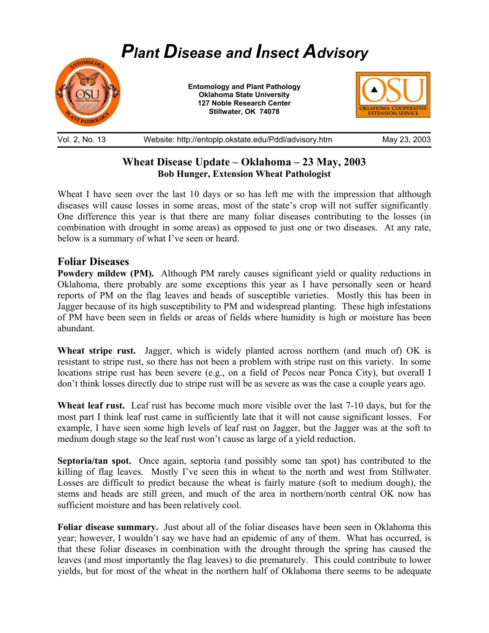

Vol. 2, No. 13 Website: http://entoplp.okstate.edu/Pddl/advisory.htm May 23, 2003

# **Wheat Disease Update – Oklahoma – 23 May, 2003 Bob Hunger, Extension Wheat Pathologist**

Wheat I have seen over the last 10 days or so has left me with the impression that although diseases will cause losses in some areas, most of the state's crop will not suffer significantly. One difference this year is that there are many foliar diseases contributing to the losses (in combination with drought in some areas) as opposed to just one or two diseases. At any rate, below is a summary of what I've seen or heard.

## **Foliar Diseases**

**Powdery mildew (PM).** Although PM rarely causes significant yield or quality reductions in Oklahoma, there probably are some exceptions this year as I have personally seen or heard reports of PM on the flag leaves and heads of susceptible varieties. Mostly this has been in Jagger because of its high susceptibility to PM and widespread planting. These high infestations of PM have been seen in fields or areas of fields where humidity is high or moisture has been abundant.

**Wheat stripe rust.** Jagger, which is widely planted across northern (and much of) OK is resistant to stripe rust, so there has not been a problem with stripe rust on this variety. In some locations stripe rust has been severe (e.g., on a field of Pecos near Ponca City), but overall I don't think losses directly due to stripe rust will be as severe as was the case a couple years ago.

**Wheat leaf rust.** Leaf rust has become much more visible over the last 7-10 days, but for the most part I think leaf rust came in sufficiently late that it will not cause significant losses. For example, I have seen some high levels of leaf rust on Jagger, but the Jagger was at the soft to medium dough stage so the leaf rust won't cause as large of a yield reduction.

**Septoria/tan spot.** Once again, septoria (and possibly some tan spot) has contributed to the killing of flag leaves. Mostly I've seen this in wheat to the north and west from Stillwater. Losses are difficult to predict because the wheat is fairly mature (soft to medium dough), the stems and heads are still green, and much of the area in northern/north central OK now has sufficient moisture and has been relatively cool.

**Foliar disease summary.** Just about all of the foliar diseases have been seen in Oklahoma this year; however, I wouldn't say we have had an epidemic of any of them. What has occurred, is that these foliar diseases in combination with the drought through the spring has caused the leaves (and most importantly the flag leaves) to die prematurely. This could contribute to lower yields, but for most of the wheat in the northern half of Oklahoma there seems to be adequate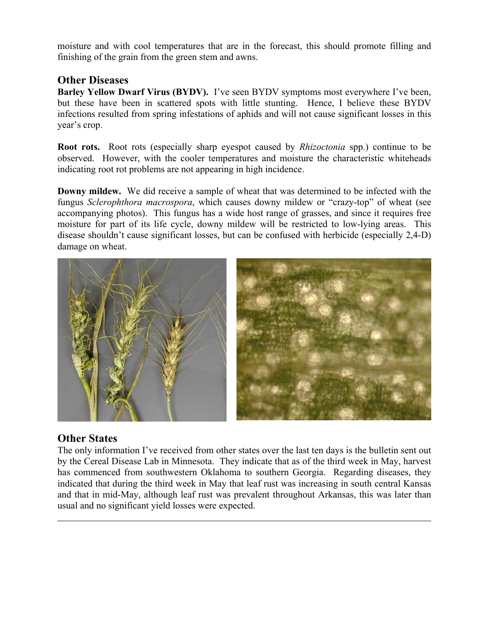moisture and with cool temperatures that are in the forecast, this should promote filling and finishing of the grain from the green stem and awns.

## **Other Diseases**

**Barley Yellow Dwarf Virus (BYDV).** I've seen BYDV symptoms most everywhere I've been, but these have been in scattered spots with little stunting. Hence, I believe these BYDV infections resulted from spring infestations of aphids and will not cause significant losses in this year's crop.

**Root rots.** Root rots (especially sharp eyespot caused by *Rhizoctonia* spp.) continue to be observed. However, with the cooler temperatures and moisture the characteristic whiteheads indicating root rot problems are not appearing in high incidence.

**Downy mildew.** We did receive a sample of wheat that was determined to be infected with the fungus *Sclerophthora macrospora*, which causes downy mildew or "crazy-top" of wheat (see accompanying photos). This fungus has a wide host range of grasses, and since it requires free moisture for part of its life cycle, downy mildew will be restricted to low-lying areas. This disease shouldn't cause significant losses, but can be confused with herbicide (especially 2,4-D) damage on wheat.



# **Other States**

 $\overline{a}$ 

The only information I've received from other states over the last ten days is the bulletin sent out by the Cereal Disease Lab in Minnesota. They indicate that as of the third week in May, harvest has commenced from southwestern Oklahoma to southern Georgia. Regarding diseases, they indicated that during the third week in May that leaf rust was increasing in south central Kansas and that in mid-May, although leaf rust was prevalent throughout Arkansas, this was later than usual and no significant yield losses were expected.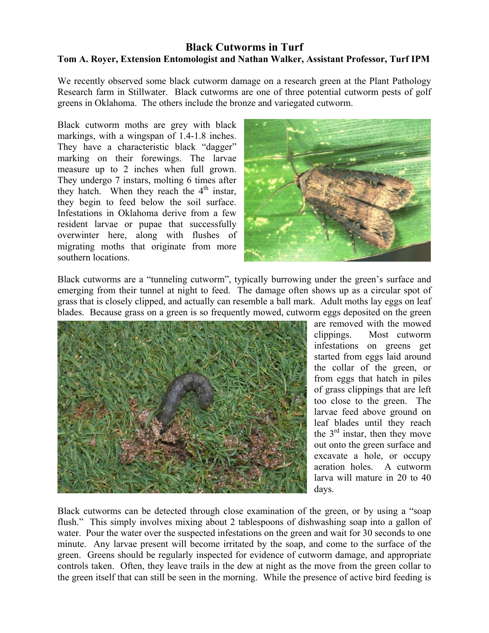#### **Black Cutworms in Turf Tom A. Royer, Extension Entomologist and Nathan Walker, Assistant Professor, Turf IPM**

We recently observed some black cutworm damage on a research green at the Plant Pathology Research farm in Stillwater. Black cutworms are one of three potential cutworm pests of golf greens in Oklahoma. The others include the bronze and variegated cutworm.

Black cutworm moths are grey with black markings, with a wingspan of 1.4-1.8 inches. They have a characteristic black "dagger" marking on their forewings. The larvae measure up to 2 inches when full grown. They undergo 7 instars, molting 6 times after they hatch. When they reach the  $4<sup>th</sup>$  instar, they begin to feed below the soil surface. Infestations in Oklahoma derive from a few resident larvae or pupae that successfully overwinter here, along with flushes of migrating moths that originate from more southern locations.



Black cutworms are a "tunneling cutworm", typically burrowing under the green's surface and emerging from their tunnel at night to feed. The damage often shows up as a circular spot of grass that is closely clipped, and actually can resemble a ball mark. Adult moths lay eggs on leaf blades. Because grass on a green is so frequently mowed, cutworm eggs deposited on the green



are removed with the mowed clippings. Most cutworm infestations on greens get started from eggs laid around the collar of the green, or from eggs that hatch in piles of grass clippings that are left too close to the green. The larvae feed above ground on leaf blades until they reach the  $3<sup>rd</sup>$  instar, then they move out onto the green surface and excavate a hole, or occupy aeration holes. A cutworm larva will mature in 20 to 40 days.

Black cutworms can be detected through close examination of the green, or by using a "soap flush." This simply involves mixing about 2 tablespoons of dishwashing soap into a gallon of water. Pour the water over the suspected infestations on the green and wait for 30 seconds to one minute. Any larvae present will become irritated by the soap, and come to the surface of the green. Greens should be regularly inspected for evidence of cutworm damage, and appropriate controls taken. Often, they leave trails in the dew at night as the move from the green collar to the green itself that can still be seen in the morning. While the presence of active bird feeding is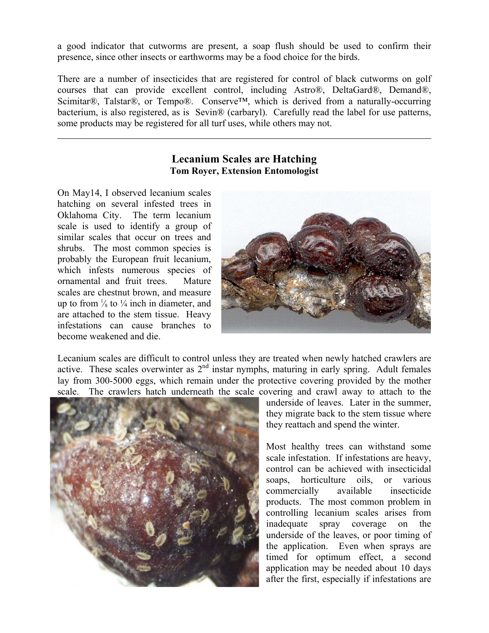a good indicator that cutworms are present, a soap flush should be used to confirm their presence, since other insects or earthworms may be a food choice for the birds.

There are a number of insecticides that are registered for control of black cutworms on golf courses that can provide excellent control, including Astro®, DeltaGard®, Demand®, Scimitar®, Talstar®, or Tempo®. Conserve<sup>™,</sup> which is derived from a naturally-occurring bacterium, is also registered, as is Sevin® (carbaryl). Carefully read the label for use patterns, some products may be registered for all turf uses, while others may not.

#### **Lecanium Scales are Hatching Tom Royer, Extension Entomologist**

On May14, I observed lecanium scales hatching on several infested trees in Oklahoma City. The term lecanium scale is used to identify a group of similar scales that occur on trees and shrubs. The most common species is probably the European fruit lecanium, which infests numerous species of ornamental and fruit trees. Mature scales are chestnut brown, and measure up to from  $\frac{1}{8}$  to  $\frac{1}{4}$  inch in diameter, and are attached to the stem tissue. Heavy infestations can cause branches to become weakened and die.

 $\overline{a}$ 



Lecanium scales are difficult to control unless they are treated when newly hatched crawlers are active. These scales overwinter as  $2<sup>nd</sup>$  instar nymphs, maturing in early spring. Adult females lay from 300-5000 eggs, which remain under the protective covering provided by the mother scale. The crawlers hatch underneath the scale covering and crawl away to attach to the



underside of leaves. Later in the summer, they migrate back to the stem tissue where they reattach and spend the winter.

Most healthy trees can withstand some scale infestation. If infestations are heavy, control can be achieved with insecticidal soaps, horticulture oils, or various commercially available insecticide products. The most common problem in controlling lecanium scales arises from inadequate spray coverage on the underside of the leaves, or poor timing of the application. Even when sprays are timed for optimum effect, a second application may be needed about 10 days after the first, especially if infestations are